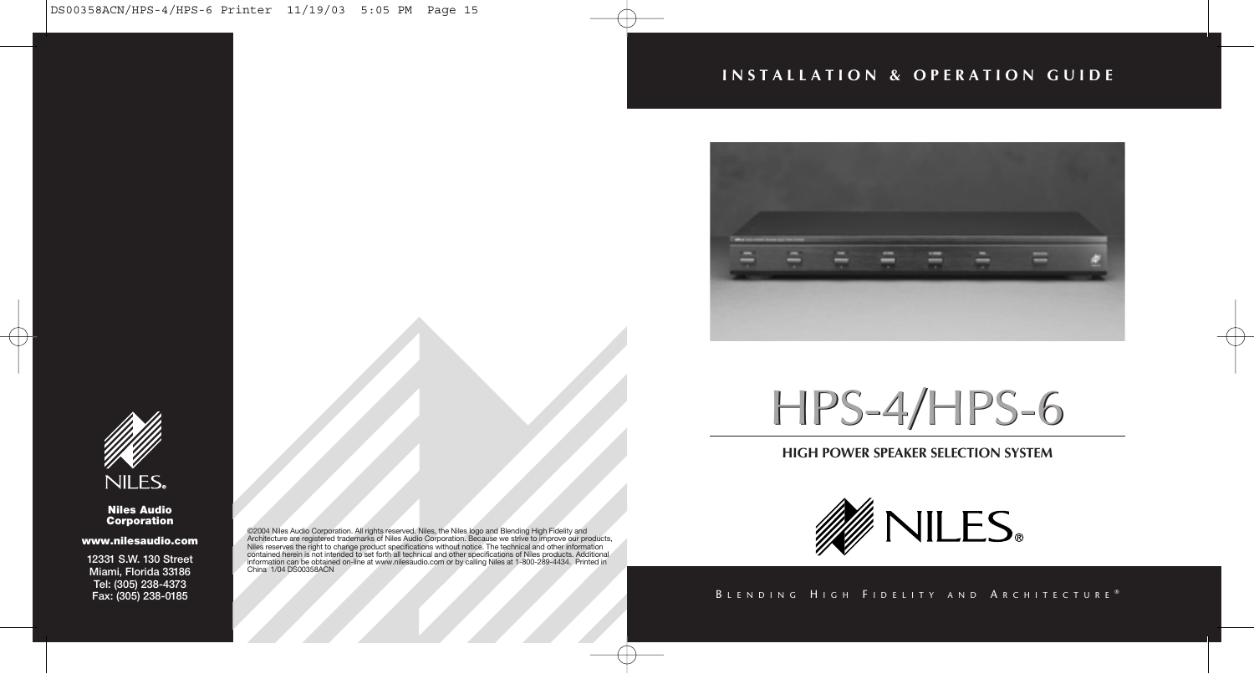# **INSTALLATION & OPERATION GUIDE**





#### **Niles Audio Corporation**

#### **www.nilesaudio.com**

**12331 S.W. 130 Street Miami, Florida 33186 Tel: (305) 238-4373 Fax: (305) 238-0185**

@2014 Niles Audio Corporation. All rights reserved. Niles, the Niles logo and Blending High Fidelity and<br>Architecture are registered trademarks of Niles Audio Corporation. Because we strive to improve our products,<br>Niles r China 1/04 DS00358ACN

# HPS-4/HPS-6 HPS-4/HPS-6

# **HIGH POWER SPEAKER SELECTION SYSTEM**



## BLENDING HIGH FIDELITY AND ARCHITECTURE®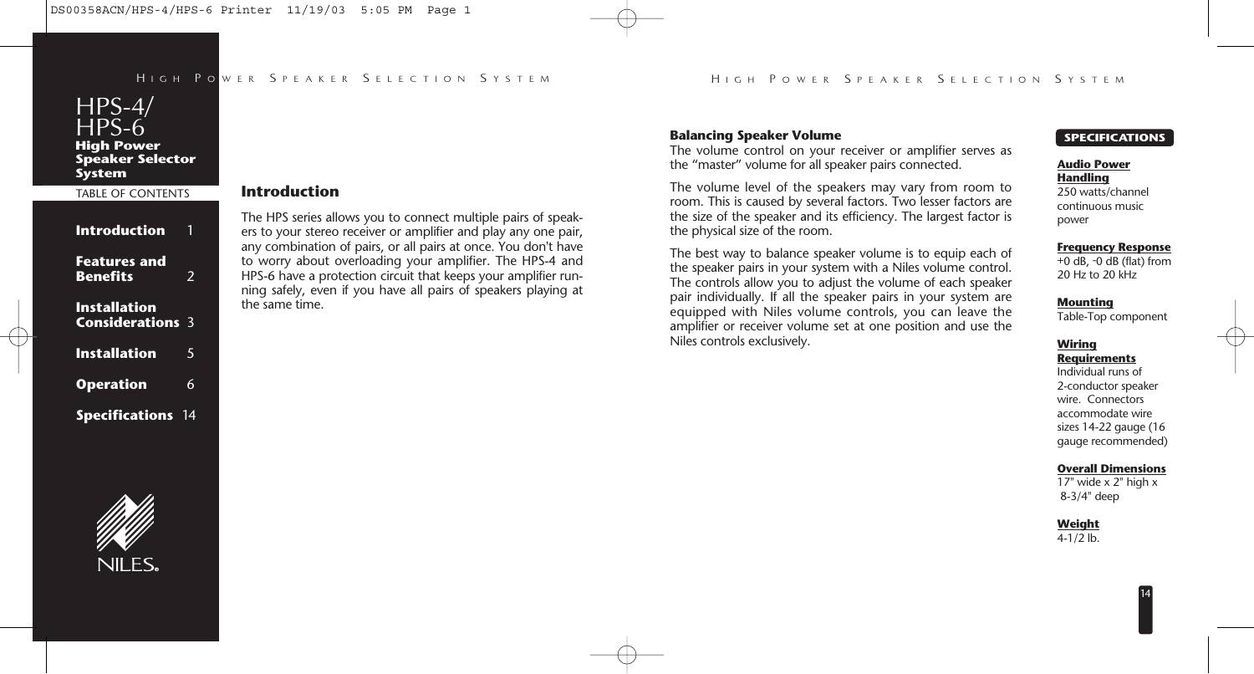

# TABLE OF CONTENTS

| <b>Introduction</b>                            | 1  |
|------------------------------------------------|----|
| <b>Features and</b><br><b>Benefits</b>         | 2  |
| <b>Installation</b><br><b>Considerations 3</b> |    |
| <b>Installation</b>                            | 5  |
| <b>Operation</b>                               | 6  |
| <b>Specifications</b>                          | 14 |

# **Introduction**

The HPS series allows you to connect multiple pairs of speakers to your stereo receiver or amplifier and play any one pair, any combination of pairs, or all pairs at once. You don't have to worry about overloading your amplifier. The HPS-4 and HPS-6 have a protection circuit that keeps your amplifier running safely, even if you have all pairs of speakers playing at the same time.

#### **Balancing Speaker Volume**

The volume control on your receiver or amplifier serves as the "master" volume for all speaker pairs connected.

The volume level of the speakers may vary from room to room. This is caused by several factors. Two lesser factors are the size of the speaker and its efficiency. The largest factor is the physical size of the room.

The best way to balance speaker volume is to equip each of the speaker pairs in your system with a Niles volume control. The controls allow you to adjust the volume of each speaker pair individually. If all the speaker pairs in your system are equipped with Niles volume controls, you can leave the amplifier or receiver volume set at one position and use the Niles controls exclusively.

#### **SPECIFICATIONS**

#### **Audio Power Handling**

250 watts/channel continuous music power

#### **Frequency Response**

+0 dB, -0 dB (flat) from 20 Hz to 20 kHz

#### **Mounting**

Table-Top component

#### **Wiring Requirements**

Individual runs of 2-conductor speaker wire. Connectors accommodate wire sizes 14-22 gauge (16 gauge recommended)

#### **Overall Dimensions**

17" wide  $\times$  2" high  $\times$ 8-3/4" deep

14

**Weight**

 $4 - 1/2$  lb.

# NII FS.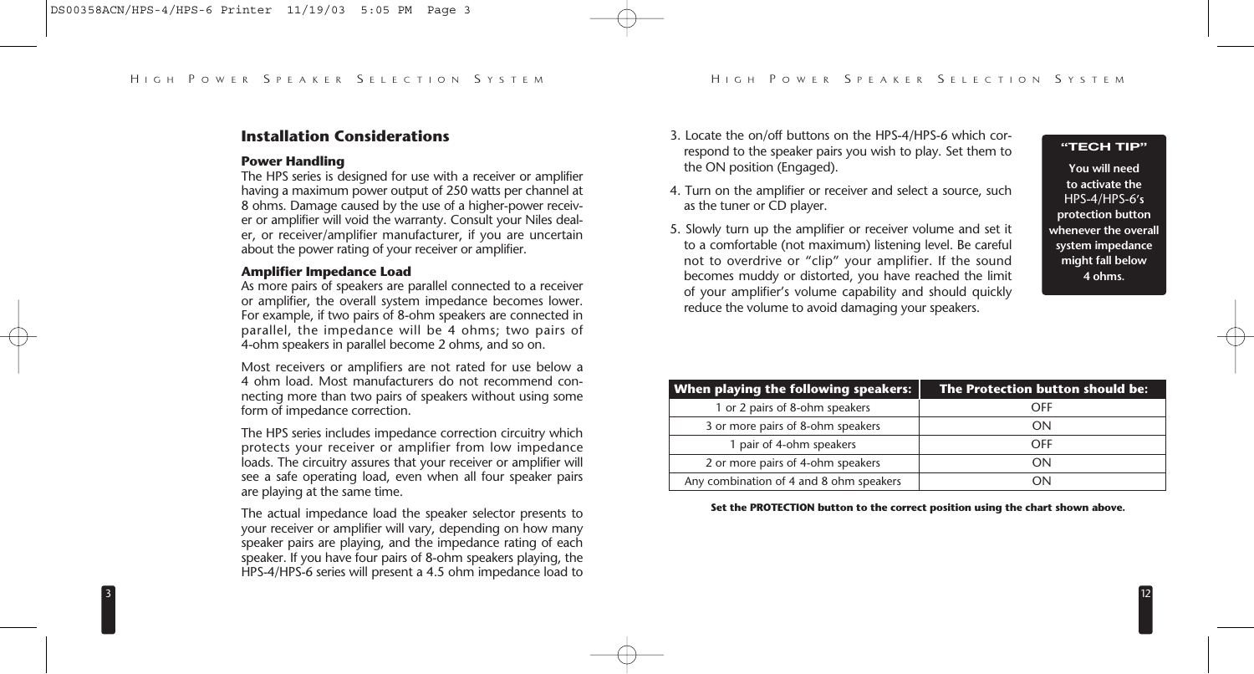# **Installation Considerations**

#### **Power Handling**

The HPS series is designed for use with a receiver or amplifier having a maximum power output of 250 watts per channel at 8 ohms. Damage caused by the use of a higher-power receiver or amplifier will void the warranty. Consult your Niles dealer, or receiver/amplifier manufacturer, if you are uncertain about the power rating of your receiver or amplifier.

#### **Amplifier Impedance Load**

As more pairs of speakers are parallel connected to a receiver or amplifier, the overall system impedance becomes lower. For example, if two pairs of 8-ohm speakers are connected in parallel, the impedance will be 4 ohms; two pairs of 4-ohm speakers in parallel become 2 ohms, and so on.

Most receivers or amplifiers are not rated for use below a 4 ohm load. Most manufacturers do not recommend connecting more than two pairs of speakers without using some form of impedance correction.

The HPS series includes impedance correction circuitry which protects your receiver or amplifier from low impedance loads. The circuitry assures that your receiver or amplifier will see a safe operating load, even when all four speaker pairs are playing at the same time.

The actual impedance load the speaker selector presents to your receiver or amplifier will vary, depending on how many speaker pairs are playing, and the impedance rating of each speaker. If you have four pairs of 8-ohm speakers playing, the HPS-4/HPS-6 series will present a 4.5 ohm impedance load to

- 3. Locate the on/off buttons on the HPS-4/HPS-6 which correspond to the speaker pairs you wish to play. Set them to the ON position (Engaged).
- 4. Turn on the amplifier or receiver and select a source, such as the tuner or CD player.
- 5. Slowly turn up the amplifier or receiver volume and set it to a comfortable (not maximum) listening level. Be careful not to overdrive or "clip" your amplifier. If the sound becomes muddy or distorted, you have reached the limit of your amplifier's volume capability and should quickly reduce the volume to avoid damaging your speakers.

#### **"TECH TIP"**

**You will need to activate the**  HPS-4/HPS-6**'s protection button whenever the overall system impedance might fall below 4 ohms.**

12

| When playing the following speakers:    | The Protection button should be: |
|-----------------------------------------|----------------------------------|
| 1 or 2 pairs of 8-ohm speakers          | OFF                              |
| 3 or more pairs of 8-ohm speakers       | ΩN                               |
| 1 pair of 4-ohm speakers                | OFF                              |
| 2 or more pairs of 4-ohm speakers       | OΝ                               |
| Any combination of 4 and 8 ohm speakers | ΩV                               |

**Set the PROTECTION button to the correct position using the chart shown above.**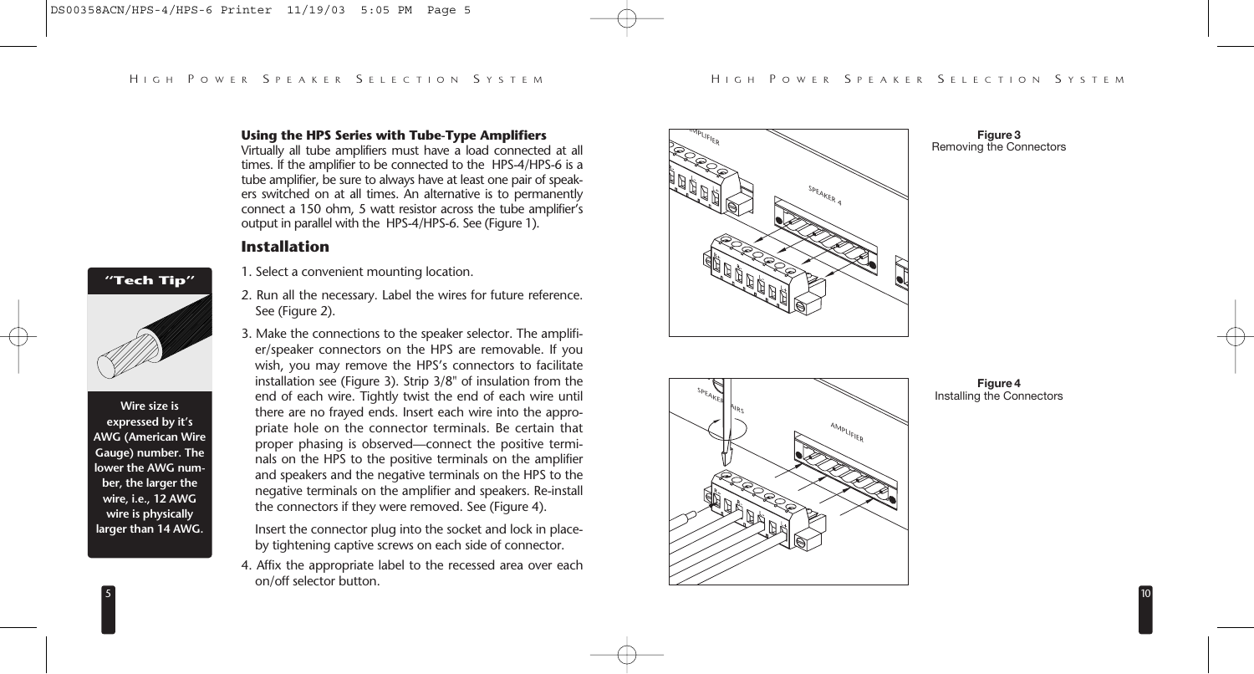# **Using the HPS Series with Tube-Type Amplifiers**

Virtually all tube amplifiers must have a load connected at all times. If the amplifier to be connected to the HPS-4/HPS-6 is a tube amplifier, be sure to always have at least one pair of speakers switched on at all times. An alternative is to permanently connect a 150 ohm, 5 watt resistor across the tube amplifier's output in parallel with the HPS-4/HPS-6. See (Figure 1).

# **Installation**

- 1. Select a convenient mounting location.
- 2. Run all the necessary. Label the wires for future reference. See (Figure 2).
- 3. Make the connections to the speaker selector. The amplifier/speaker connectors on the HPS are removable. If you wish, you may remove the HPS's connectors to facilitate installation see (Figure 3). Strip 3/8" of insulation from the end of each wire. Tightly twist the end of each wire until there are no frayed ends. Insert each wire into the appropriate hole on the connector terminals. Be certain that proper phasing is observed—connect the positive terminals on the HPS to the positive terminals on the amplifier and speakers and the negative terminals on the HPS to the negative terminals on the amplifier and speakers. Re-install the connectors if they were removed. See (Figure 4).

Insert the connector plug into the socket and lock in placeby tightening captive screws on each side of connector.

4. Affix the appropriate label to the recessed area over each on/off selector button.



#### **Figure 3** Removing the Connectors



#### **Figure 4** Installing the Connectors

10

5

**"Tech Tip"**

**Wire size is expressed by it's AWG (American Wire Gauge) number. The lower the AWG number, the larger the wire, i.e., 12 AWG wire is physically larger than 14 AWG.**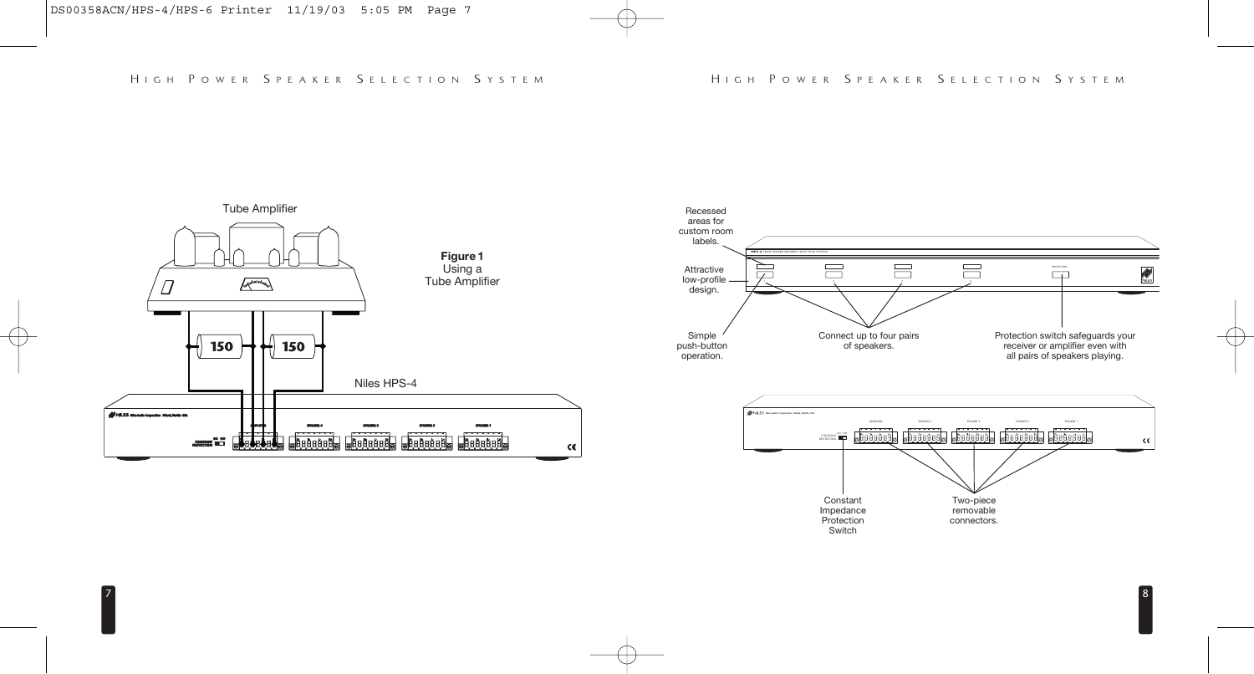

7





8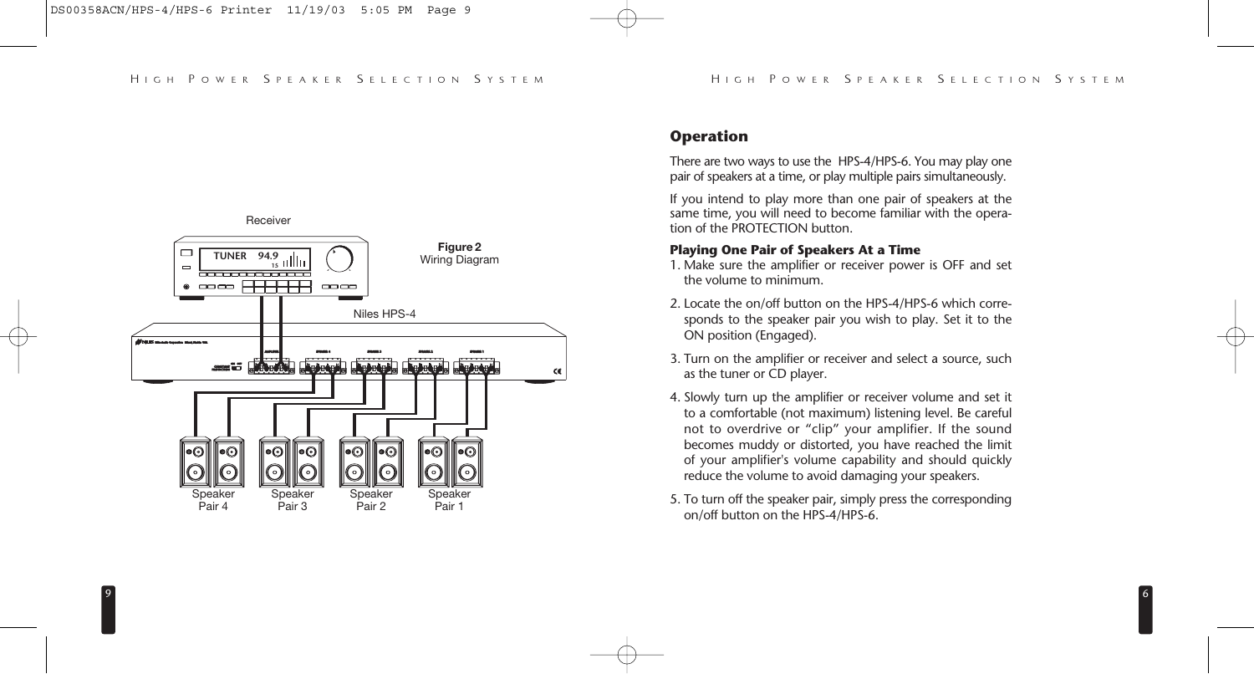

# **Operation**

There are two ways to use the HPS-4/HPS-6. You may play one pair of speakers at a time, or play multiple pairs simultaneously.

If you intend to play more than one pair of speakers at the same time, you will need to become familiar with the operation of the PROTECTION button.

# **Playing One Pair of Speakers At a Time**

- 1. Make sure the amplifier or receiver power is OFF and set the volume to minimum.
- 2. Locate the on/off button on the HPS-4/HPS-6 which corresponds to the speaker pair you wish to play. Set it to the ON position (Engaged).
- 3. Turn on the amplifier or receiver and select a source, such as the tuner or CD player.
- 4. Slowly turn up the amplifier or receiver volume and set it to a comfortable (not maximum) listening level. Be careful not to overdrive or "clip" your amplifier. If the sound becomes muddy or distorted, you have reached the limit of your amplifier's volume capability and should quickly reduce the volume to avoid damaging your speakers.
- 5. To turn off the speaker pair, simply press the corresponding on/off button on the HPS-4/HPS-6.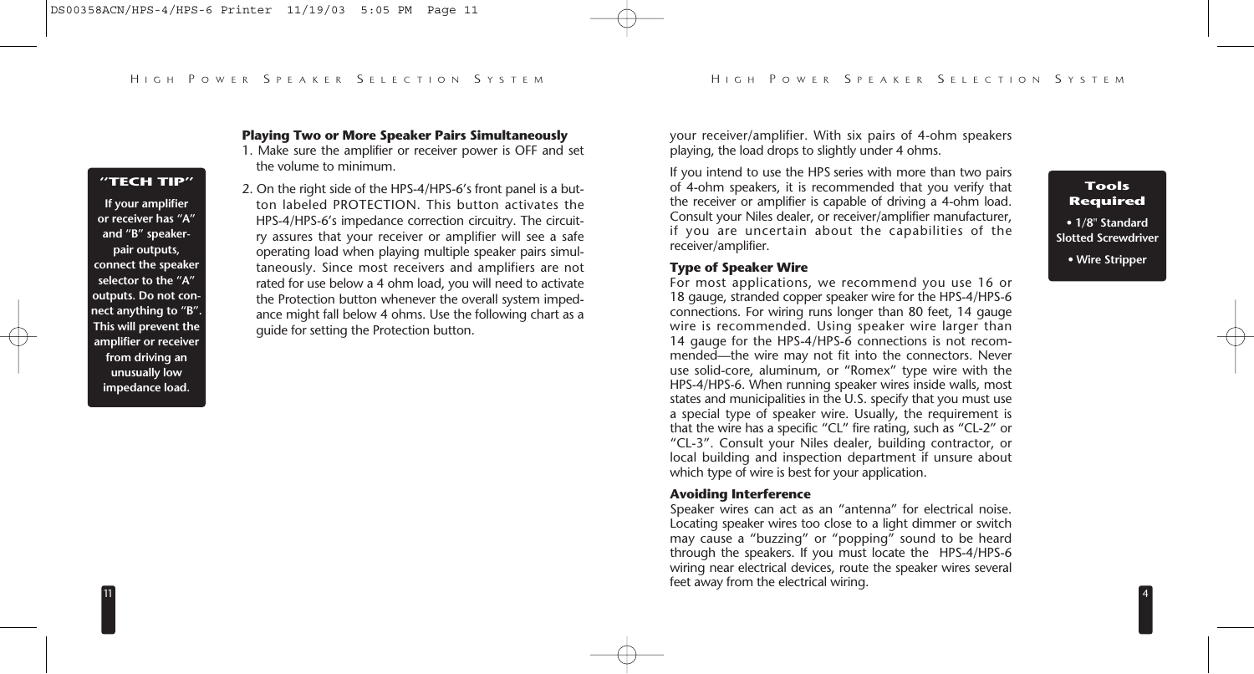#### **"TECH TIP"**

**If your amplifier or receiver has "A" and "B" speakerpair outputs, connect the speaker selector to the "A" outputs. Do not connect anything to "B". This will prevent the amplifier or receiver from driving an unusually low impedance load.**

11

## **Playing Two or More Speaker Pairs Simultaneously**

- 1. Make sure the amplifier or receiver power is OFF and set the volume to minimum.
- 2. On the right side of the HPS-4/HPS-6's front panel is a button labeled PROTECTION. This button activates the HPS-4/HPS-6's impedance correction circuitry. The circuitry assures that your receiver or amplifier will see a safe operating load when playing multiple speaker pairs simultaneously. Since most receivers and amplifiers are not rated for use below a 4 ohm load, you will need to activate the Protection button whenever the overall system impedance might fall below 4 ohms. Use the following chart as a guide for setting the Protection button.

your receiver/amplifier. With six pairs of 4-ohm speakers playing, the load drops to slightly under 4 ohms.

If you intend to use the HPS series with more than two pairs of 4-ohm speakers, it is recommended that you verify that the receiver or amplifier is capable of driving a 4-ohm load. Consult your Niles dealer, or receiver/amplifier manufacturer, if you are uncertain about the capabilities of the receiver/amplifier.

# **Type of Speaker Wire**

For most applications, we recommend you use 16 or 18 gauge, stranded copper speaker wire for the HPS-4/HPS-6 connections. For wiring runs longer than 80 feet, 14 gauge wire is recommended. Using speaker wire larger than 14 gauge for the HPS-4/HPS-6 connections is not recommended—the wire may not fit into the connectors. Never use solid-core, aluminum, or "Romex" type wire with the HPS-4/HPS-6. When running speaker wires inside walls, most states and municipalities in the U.S. specify that you must use a special type of speaker wire. Usually, the requirement is that the wire has a specific "CL" fire rating, such as "CL-2" or "CL-3". Consult your Niles dealer, building contractor, or local building and inspection department if unsure about which type of wire is best for your application.

#### **Avoiding Interference**

Speaker wires can act as an "antenna" for electrical noise. Locating speaker wires too close to a light dimmer or switch may cause a "buzzing" or "popping" sound to be heard through the speakers. If you must locate the HPS-4/HPS-6 wiring near electrical devices, route the speaker wires several feet away from the electrical wiring. <sup>4</sup>

**Tools Required**